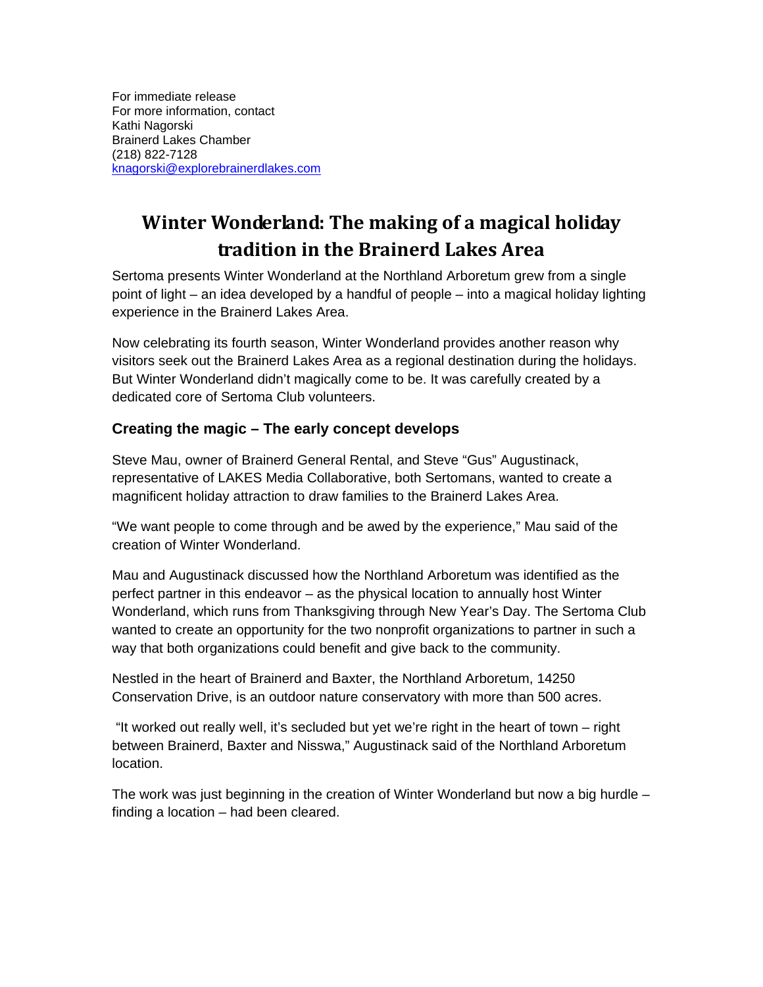For immediate release For more information, contact Kathi Nagorski Brainerd Lakes Chamber (218) 822-7128 knagorski@explorebrainerdlakes.com

# **Winter Wonderland: The making of a magical holiday tradition in the Brainerd Lakes Area**

Sertoma presents Winter Wonderland at the Northland Arboretum grew from a single point of light – an idea developed by a handful of people – into a magical holiday lighting experience in the Brainerd Lakes Area.

Now celebrating its fourth season, Winter Wonderland provides another reason why visitors seek out the Brainerd Lakes Area as a regional destination during the holidays. But Winter Wonderland didn't magically come to be. It was carefully created by a dedicated core of Sertoma Club volunteers.

## **Creating the magic – The early concept develops**

Steve Mau, owner of Brainerd General Rental, and Steve "Gus" Augustinack, representative of LAKES Media Collaborative, both Sertomans, wanted to create a magnificent holiday attraction to draw families to the Brainerd Lakes Area.

"We want people to come through and be awed by the experience," Mau said of the creation of Winter Wonderland.

Mau and Augustinack discussed how the Northland Arboretum was identified as the perfect partner in this endeavor – as the physical location to annually host Winter Wonderland, which runs from Thanksgiving through New Year's Day. The Sertoma Club wanted to create an opportunity for the two nonprofit organizations to partner in such a way that both organizations could benefit and give back to the community.

Nestled in the heart of Brainerd and Baxter, the Northland Arboretum, 14250 Conservation Drive, is an outdoor nature conservatory with more than 500 acres.

 "It worked out really well, it's secluded but yet we're right in the heart of town – right between Brainerd, Baxter and Nisswa," Augustinack said of the Northland Arboretum location.

The work was just beginning in the creation of Winter Wonderland but now a big hurdle – finding a location – had been cleared.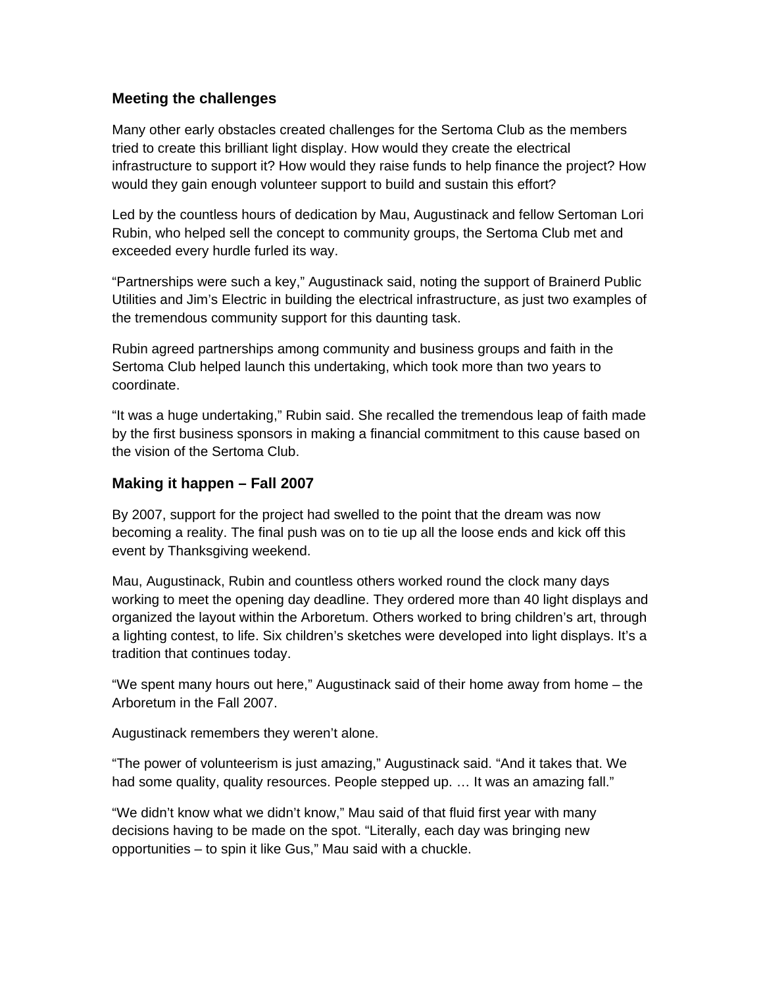### **Meeting the challenges**

Many other early obstacles created challenges for the Sertoma Club as the members tried to create this brilliant light display. How would they create the electrical infrastructure to support it? How would they raise funds to help finance the project? How would they gain enough volunteer support to build and sustain this effort?

Led by the countless hours of dedication by Mau, Augustinack and fellow Sertoman Lori Rubin, who helped sell the concept to community groups, the Sertoma Club met and exceeded every hurdle furled its way.

"Partnerships were such a key," Augustinack said, noting the support of Brainerd Public Utilities and Jim's Electric in building the electrical infrastructure, as just two examples of the tremendous community support for this daunting task.

Rubin agreed partnerships among community and business groups and faith in the Sertoma Club helped launch this undertaking, which took more than two years to coordinate.

"It was a huge undertaking," Rubin said. She recalled the tremendous leap of faith made by the first business sponsors in making a financial commitment to this cause based on the vision of the Sertoma Club.

### **Making it happen – Fall 2007**

By 2007, support for the project had swelled to the point that the dream was now becoming a reality. The final push was on to tie up all the loose ends and kick off this event by Thanksgiving weekend.

Mau, Augustinack, Rubin and countless others worked round the clock many days working to meet the opening day deadline. They ordered more than 40 light displays and organized the layout within the Arboretum. Others worked to bring children's art, through a lighting contest, to life. Six children's sketches were developed into light displays. It's a tradition that continues today.

"We spent many hours out here," Augustinack said of their home away from home – the Arboretum in the Fall 2007.

Augustinack remembers they weren't alone.

"The power of volunteerism is just amazing," Augustinack said. "And it takes that. We had some quality, quality resources. People stepped up. ... It was an amazing fall."

"We didn't know what we didn't know," Mau said of that fluid first year with many decisions having to be made on the spot. "Literally, each day was bringing new opportunities – to spin it like Gus," Mau said with a chuckle.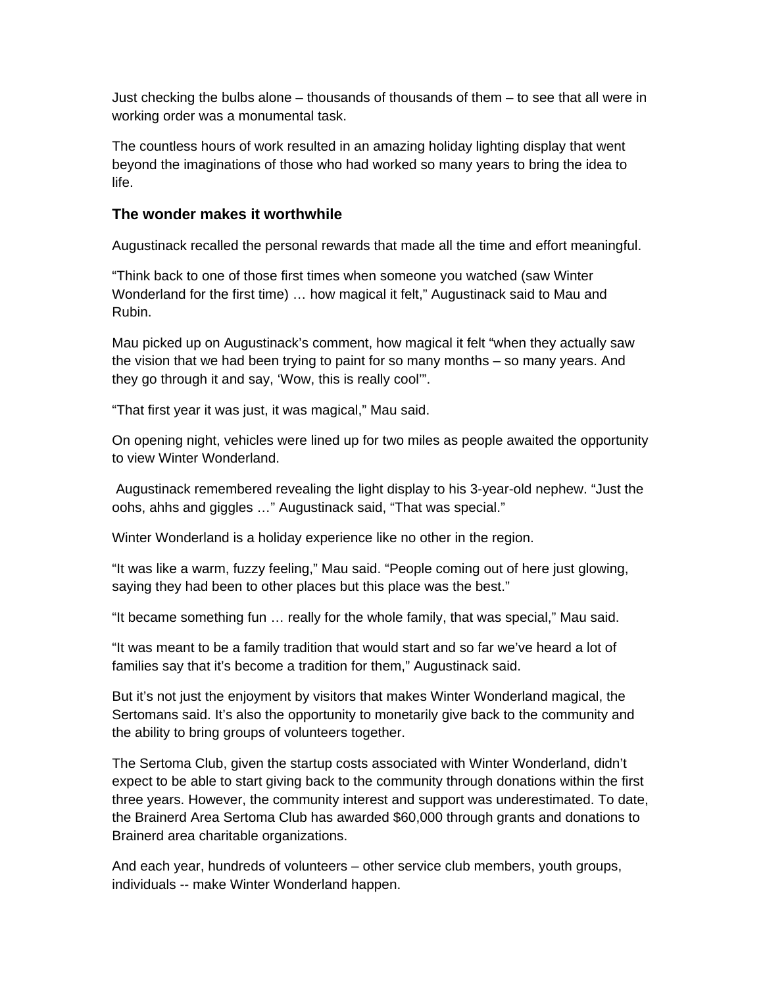Just checking the bulbs alone – thousands of thousands of them – to see that all were in working order was a monumental task.

The countless hours of work resulted in an amazing holiday lighting display that went beyond the imaginations of those who had worked so many years to bring the idea to life.

#### **The wonder makes it worthwhile**

Augustinack recalled the personal rewards that made all the time and effort meaningful.

"Think back to one of those first times when someone you watched (saw Winter Wonderland for the first time) … how magical it felt," Augustinack said to Mau and Rubin.

Mau picked up on Augustinack's comment, how magical it felt "when they actually saw the vision that we had been trying to paint for so many months – so many years. And they go through it and say, 'Wow, this is really cool'".

"That first year it was just, it was magical," Mau said.

On opening night, vehicles were lined up for two miles as people awaited the opportunity to view Winter Wonderland.

 Augustinack remembered revealing the light display to his 3-year-old nephew. "Just the oohs, ahhs and giggles …" Augustinack said, "That was special."

Winter Wonderland is a holiday experience like no other in the region.

"It was like a warm, fuzzy feeling," Mau said. "People coming out of here just glowing, saying they had been to other places but this place was the best."

"It became something fun … really for the whole family, that was special," Mau said.

"It was meant to be a family tradition that would start and so far we've heard a lot of families say that it's become a tradition for them," Augustinack said.

But it's not just the enjoyment by visitors that makes Winter Wonderland magical, the Sertomans said. It's also the opportunity to monetarily give back to the community and the ability to bring groups of volunteers together.

The Sertoma Club, given the startup costs associated with Winter Wonderland, didn't expect to be able to start giving back to the community through donations within the first three years. However, the community interest and support was underestimated. To date, the Brainerd Area Sertoma Club has awarded \$60,000 through grants and donations to Brainerd area charitable organizations.

And each year, hundreds of volunteers – other service club members, youth groups, individuals -- make Winter Wonderland happen.